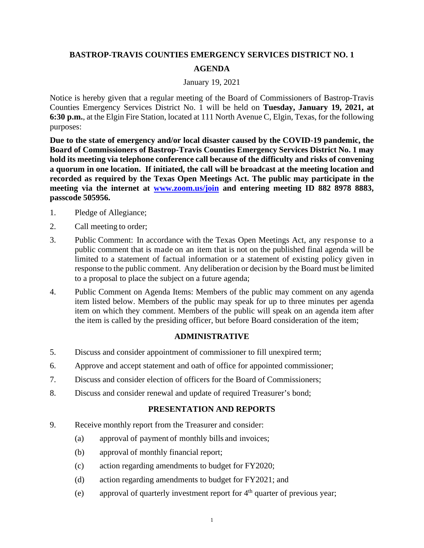# **BASTROP-TRAVIS COUNTIES EMERGENCY SERVICES DISTRICT NO. 1 AGENDA**

#### January 19, 2021

Notice is hereby given that a regular meeting of the Board of Commissioners of Bastrop-Travis Counties Emergency Services District No. 1 will be held on **Tuesday, January 19, 2021, at 6:30 p.m.**, at the Elgin Fire Station, located at 111 North Avenue C, Elgin, Texas, for the following purposes:

**Due to the state of emergency and/or local disaster caused by the COVID-19 pandemic, the Board of Commissioners of Bastrop-Travis Counties Emergency Services District No. 1 may hold its meeting via telephone conference call because of the difficulty and risks of convening a quorum in one location. If initiated, the call will be broadcast at the meeting location and recorded as required by the Texas Open Meetings Act. The public may participate in the meeting via the internet at [www.zoom.us/join](http://www.zoom.us/join) and entering meeting ID 882 8978 8883, passcode 505956.**

- 1. Pledge of Allegiance;
- 2. Call meeting to order;
- 3. Public Comment: In accordance with the Texas Open Meetings Act, any response to a public comment that is made on an item that is not on the published final agenda will be limited to a statement of factual information or a statement of existing policy given in response to the public comment. Any deliberation or decision by the Board must be limited to a proposal to place the subject on a future agenda;
- 4. Public Comment on Agenda Items: Members of the public may comment on any agenda item listed below. Members of the public may speak for up to three minutes per agenda item on which they comment. Members of the public will speak on an agenda item after the item is called by the presiding officer, but before Board consideration of the item;

## **ADMINISTRATIVE**

- 5. Discuss and consider appointment of commissioner to fill unexpired term;
- 6. Approve and accept statement and oath of office for appointed commissioner;
- 7. Discuss and consider election of officers for the Board of Commissioners;
- 8. Discuss and consider renewal and update of required Treasurer's bond;

## **PRESENTATION AND REPORTS**

- 9. Receive monthly report from the Treasurer and consider:
	- (a) approval of payment of monthly bills and invoices;
	- (b) approval of monthly financial report;
	- (c) action regarding amendments to budget for FY2020;
	- (d) action regarding amendments to budget for FY2021; and
	- (e) approval of quarterly investment report for  $4<sup>th</sup>$  quarter of previous year;